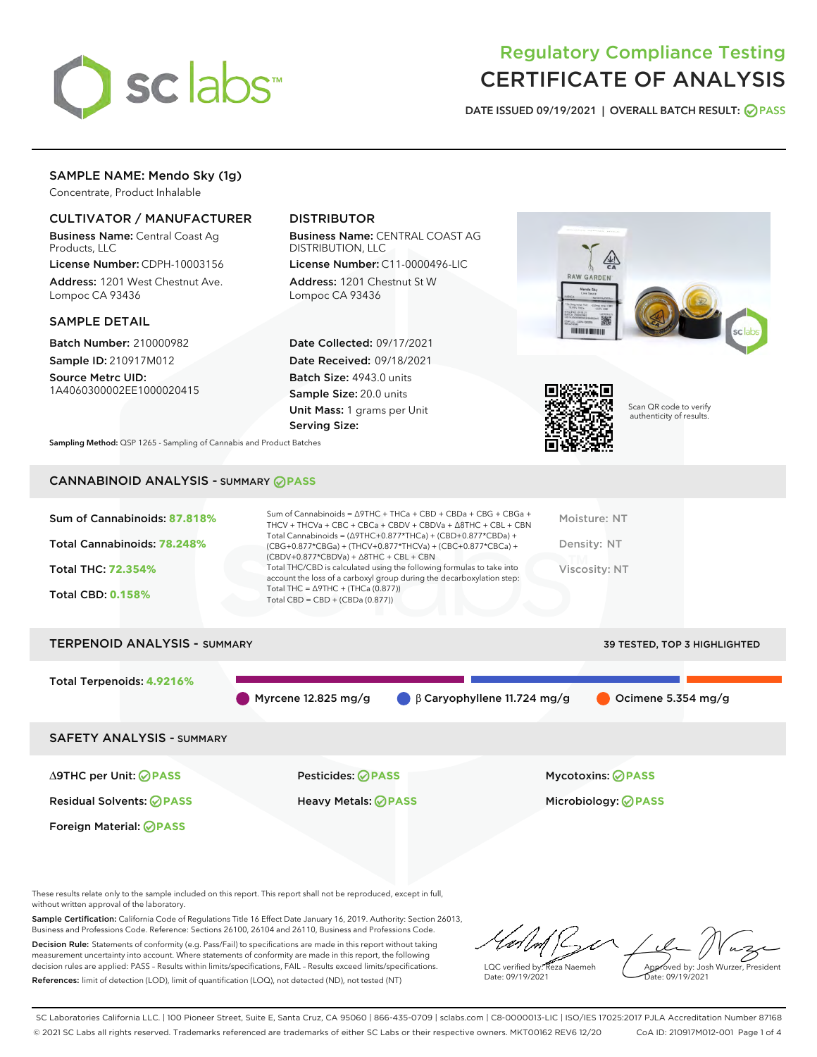

# Regulatory Compliance Testing CERTIFICATE OF ANALYSIS

DATE ISSUED 09/19/2021 | OVERALL BATCH RESULT: @ PASS

# SAMPLE NAME: Mendo Sky (1g)

Concentrate, Product Inhalable

# CULTIVATOR / MANUFACTURER

Business Name: Central Coast Ag Products, LLC

License Number: CDPH-10003156 Address: 1201 West Chestnut Ave. Lompoc CA 93436

#### SAMPLE DETAIL

Batch Number: 210000982 Sample ID: 210917M012

Source Metrc UID: 1A4060300002EE1000020415

# DISTRIBUTOR

Business Name: CENTRAL COAST AG DISTRIBUTION, LLC

License Number: C11-0000496-LIC Address: 1201 Chestnut St W Lompoc CA 93436

Date Collected: 09/17/2021 Date Received: 09/18/2021 Batch Size: 4943.0 units Sample Size: 20.0 units Unit Mass: 1 grams per Unit Serving Size:





Scan QR code to verify authenticity of results.

Sampling Method: QSP 1265 - Sampling of Cannabis and Product Batches

# CANNABINOID ANALYSIS - SUMMARY **PASS**

| Sum of Cannabinoids: 87.818%<br>Total Cannabinoids: 78.248%<br>Total THC: 72.354%<br><b>Total CBD: 0.158%</b> | Sum of Cannabinoids = $\triangle$ 9THC + THCa + CBD + CBDa + CBG + CBGa +<br>THCV + THCVa + CBC + CBCa + CBDV + CBDVa + $\land$ 8THC + CBL + CBN<br>Total Cannabinoids = $(\Delta$ 9THC+0.877*THCa) + (CBD+0.877*CBDa) +<br>(CBG+0.877*CBGa) + (THCV+0.877*THCVa) + (CBC+0.877*CBCa) +<br>$(CBDV+0.877*CBDVa) + \Delta 8THC + CBL + CBN$<br>Total THC/CBD is calculated using the following formulas to take into<br>account the loss of a carboxyl group during the decarboxylation step:<br>Total THC = $\triangle$ 9THC + (THCa (0.877))<br>Total CBD = $CBD + (CBDa (0.877))$ | Moisture: NT<br>Density: NT<br>Viscosity: NT |
|---------------------------------------------------------------------------------------------------------------|-----------------------------------------------------------------------------------------------------------------------------------------------------------------------------------------------------------------------------------------------------------------------------------------------------------------------------------------------------------------------------------------------------------------------------------------------------------------------------------------------------------------------------------------------------------------------------------|----------------------------------------------|
| <b>TERPENOID ANALYSIS - SUMMARY</b>                                                                           |                                                                                                                                                                                                                                                                                                                                                                                                                                                                                                                                                                                   | <b>39 TESTED. TOP 3 HIGHLIGHTED</b>          |

Total Terpenoids: **4.9216%**

Myrcene 12.825 mg/g  $\qquad \qquad \beta$  Caryophyllene 11.724 mg/g  $\qquad \qquad$  Ocimene 5.354 mg/g

SAFETY ANALYSIS - SUMMARY

∆9THC per Unit: **PASS** Pesticides: **PASS** Mycotoxins: **PASS**

Foreign Material: **PASS**

Residual Solvents: **PASS** Heavy Metals: **PASS** Microbiology: **PASS**

These results relate only to the sample included on this report. This report shall not be reproduced, except in full, without written approval of the laboratory.

Sample Certification: California Code of Regulations Title 16 Effect Date January 16, 2019. Authority: Section 26013, Business and Professions Code. Reference: Sections 26100, 26104 and 26110, Business and Professions Code. Decision Rule: Statements of conformity (e.g. Pass/Fail) to specifications are made in this report without taking

measurement uncertainty into account. Where statements of conformity are made in this report, the following decision rules are applied: PASS – Results within limits/specifications, FAIL – Results exceed limits/specifications. References: limit of detection (LOD), limit of quantification (LOQ), not detected (ND), not tested (NT)

LQC verified by: Reza Naemeh Date: 09/19/2021 Approved by: Josh Wurzer, President Date: 09/19/2021

SC Laboratories California LLC. | 100 Pioneer Street, Suite E, Santa Cruz, CA 95060 | 866-435-0709 | sclabs.com | C8-0000013-LIC | ISO/IES 17025:2017 PJLA Accreditation Number 87168 © 2021 SC Labs all rights reserved. Trademarks referenced are trademarks of either SC Labs or their respective owners. MKT00162 REV6 12/20 CoA ID: 210917M012-001 Page 1 of 4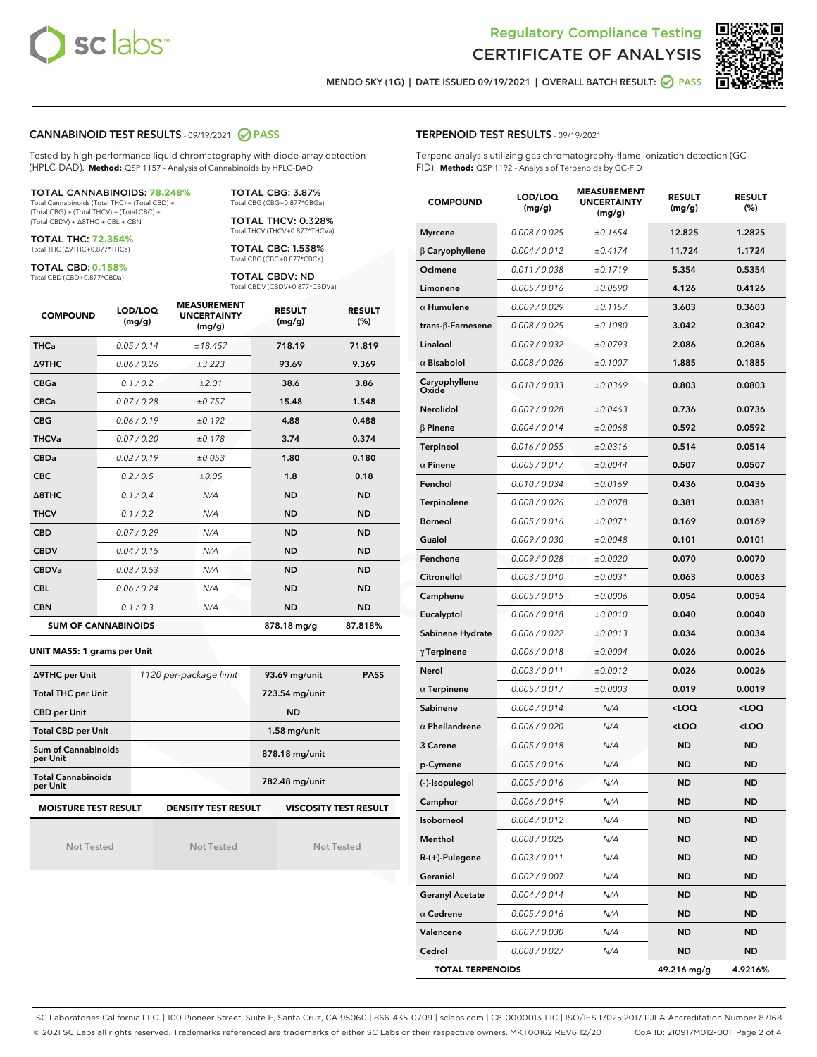



MENDO SKY (1G) | DATE ISSUED 09/19/2021 | OVERALL BATCH RESULT: ◯ PASS

#### CANNABINOID TEST RESULTS - 09/19/2021 2 PASS

Tested by high-performance liquid chromatography with diode-array detection (HPLC-DAD). **Method:** QSP 1157 - Analysis of Cannabinoids by HPLC-DAD

TOTAL CANNABINOIDS: **78.248%** Total Cannabinoids (Total THC) + (Total CBD) +

(Total CBG) + (Total THCV) + (Total CBC) + (Total CBDV) + ∆8THC + CBL + CBN

TOTAL THC: **72.354%** Total THC (∆9THC+0.877\*THCa)

TOTAL CBD: **0.158%**

Total CBD (CBD+0.877\*CBDa)

TOTAL CBG: 3.87% Total CBG (CBG+0.877\*CBGa)

TOTAL THCV: 0.328% Total THCV (THCV+0.877\*THCVa)

TOTAL CBC: 1.538% Total CBC (CBC+0.877\*CBCa)

TOTAL CBDV: ND Total CBDV (CBDV+0.877\*CBDVa)

| <b>COMPOUND</b>  | LOD/LOQ<br>(mg/g)          | <b>MEASUREMENT</b><br><b>UNCERTAINTY</b><br>(mg/g) | <b>RESULT</b><br>(mg/g) | <b>RESULT</b><br>(%) |
|------------------|----------------------------|----------------------------------------------------|-------------------------|----------------------|
| <b>THCa</b>      | 0.05/0.14                  | ±18.457                                            | 718.19                  | 71.819               |
| <b>A9THC</b>     | 0.06 / 0.26                | ±3.223                                             | 93.69                   | 9.369                |
| <b>CBGa</b>      | 0.1 / 0.2                  | ±2.01                                              | 38.6                    | 3.86                 |
| <b>CBCa</b>      | 0.07/0.28                  | ±0.757                                             | 15.48                   | 1.548                |
| <b>CBG</b>       | 0.06/0.19                  | ±0.192                                             | 4.88                    | 0.488                |
| <b>THCVa</b>     | 0.07/0.20                  | ±0.178                                             | 3.74                    | 0.374                |
| <b>CBDa</b>      | 0.02/0.19                  | ±0.053                                             | 1.80                    | 0.180                |
| <b>CBC</b>       | 0.2/0.5                    | ±0.05                                              | 1.8                     | 0.18                 |
| $\triangle$ 8THC | 0.1 / 0.4                  | N/A                                                | <b>ND</b>               | <b>ND</b>            |
| <b>THCV</b>      | 0.1/0.2                    | N/A                                                | <b>ND</b>               | <b>ND</b>            |
| <b>CBD</b>       | 0.07/0.29                  | N/A                                                | <b>ND</b>               | <b>ND</b>            |
| <b>CBDV</b>      | 0.04 / 0.15                | N/A                                                | <b>ND</b>               | <b>ND</b>            |
| <b>CBDVa</b>     | 0.03/0.53                  | N/A                                                | <b>ND</b>               | <b>ND</b>            |
| <b>CBL</b>       | 0.06 / 0.24                | N/A                                                | <b>ND</b>               | <b>ND</b>            |
| <b>CBN</b>       | 0.1/0.3                    | N/A                                                | <b>ND</b>               | <b>ND</b>            |
|                  | <b>SUM OF CANNABINOIDS</b> |                                                    | 878.18 mg/g             | 87.818%              |

#### **UNIT MASS: 1 grams per Unit**

| ∆9THC per Unit                        | 1120 per-package limit     | 93.69 mg/unit<br><b>PASS</b> |  |  |
|---------------------------------------|----------------------------|------------------------------|--|--|
| <b>Total THC per Unit</b>             |                            | 723.54 mg/unit               |  |  |
| <b>CBD per Unit</b>                   |                            | <b>ND</b>                    |  |  |
| <b>Total CBD per Unit</b>             |                            | $1.58$ mg/unit               |  |  |
| Sum of Cannabinoids<br>per Unit       |                            | 878.18 mg/unit               |  |  |
| <b>Total Cannabinoids</b><br>per Unit |                            | 782.48 mg/unit               |  |  |
| <b>MOISTURE TEST RESULT</b>           | <b>DENSITY TEST RESULT</b> | <b>VISCOSITY TEST RESULT</b> |  |  |

Not Tested

Not Tested

Not Tested

| <b>TERPENOID TEST RESULTS - 09/19/2021</b> |  |  |  |
|--------------------------------------------|--|--|--|
|--------------------------------------------|--|--|--|

Terpene analysis utilizing gas chromatography-flame ionization detection (GC-FID). **Method:** QSP 1192 - Analysis of Terpenoids by GC-FID

| <b>COMPOUND</b>         | LOD/LOQ<br>(mg/g) | <b>MEASUREMENT</b><br><b>UNCERTAINTY</b><br>(mg/g) | <b>RESULT</b><br>(mg/g)                          | <b>RESULT</b><br>(%) |
|-------------------------|-------------------|----------------------------------------------------|--------------------------------------------------|----------------------|
| <b>Myrcene</b>          | 0.008 / 0.025     | ±0.1654                                            | 12.825                                           | 1.2825               |
| $\beta$ Caryophyllene   | 0.004 / 0.012     | ±0.4174                                            | 11.724                                           | 1.1724               |
| Ocimene                 | 0.011 / 0.038     | ±0.1719                                            | 5.354                                            | 0.5354               |
| Limonene                | 0.005 / 0.016     | ±0.0590                                            | 4.126                                            | 0.4126               |
| $\alpha$ Humulene       | 0.009/0.029       | ±0.1157                                            | 3.603                                            | 0.3603               |
| trans-β-Farnesene       | 0.008 / 0.025     | ±0.1080                                            | 3.042                                            | 0.3042               |
| Linalool                | 0.009 / 0.032     | ±0.0793                                            | 2.086                                            | 0.2086               |
| $\alpha$ Bisabolol      | 0.008 / 0.026     | ±0.1007                                            | 1.885                                            | 0.1885               |
| Caryophyllene<br>Oxide  | 0.010 / 0.033     | ±0.0369                                            | 0.803                                            | 0.0803               |
| Nerolidol               | 0.009 / 0.028     | ±0.0463                                            | 0.736                                            | 0.0736               |
| $\beta$ Pinene          | 0.004 / 0.014     | ±0.0068                                            | 0.592                                            | 0.0592               |
| Terpineol               | 0.016 / 0.055     | ±0.0316                                            | 0.514                                            | 0.0514               |
| $\alpha$ Pinene         | 0.005 / 0.017     | ±0.0044                                            | 0.507                                            | 0.0507               |
| Fenchol                 | 0.010 / 0.034     | ±0.0169                                            | 0.436                                            | 0.0436               |
| <b>Terpinolene</b>      | 0.008 / 0.026     | ±0.0078                                            | 0.381                                            | 0.0381               |
| <b>Borneol</b>          | 0.005 / 0.016     | ±0.0071                                            | 0.169                                            | 0.0169               |
| Guaiol                  | 0.009 / 0.030     | ±0.0048                                            | 0.101                                            | 0.0101               |
| Fenchone                | 0.009 / 0.028     | ±0.0020                                            | 0.070                                            | 0.0070               |
| Citronellol             | 0.003 / 0.010     | ±0.0031                                            | 0.063                                            | 0.0063               |
| Camphene                | 0.005 / 0.015     | ±0.0006                                            | 0.054                                            | 0.0054               |
| Eucalyptol              | 0.006 / 0.018     | ±0.0010                                            | 0.040                                            | 0.0040               |
| Sabinene Hydrate        | 0.006 / 0.022     | ±0.0013                                            | 0.034                                            | 0.0034               |
| $\gamma$ Terpinene      | 0.006 / 0.018     | ±0.0004                                            | 0.026                                            | 0.0026               |
| Nerol                   | 0.003 / 0.011     | ±0.0012                                            | 0.026                                            | 0.0026               |
| $\alpha$ Terpinene      | 0.005 / 0.017     | ±0.0003                                            | 0.019                                            | 0.0019               |
| Sabinene                | 0.004 / 0.014     | N/A                                                | <loq< th=""><th><loq< th=""></loq<></th></loq<>  | <loq< th=""></loq<>  |
| $\alpha$ Phellandrene   | 0.006 / 0.020     | N/A                                                | <loq< th=""><th><math>&lt;</math>LOQ</th></loq<> | $<$ LOQ              |
| 3 Carene                | 0.005 / 0.018     | N/A                                                | <b>ND</b>                                        | <b>ND</b>            |
| p-Cymene                | 0.005 / 0.016     | N/A                                                | <b>ND</b>                                        | ND                   |
| (-)-Isopulegol          | 0.005 / 0.016     | N/A                                                | <b>ND</b>                                        | <b>ND</b>            |
| Camphor                 | 0.006 / 0.019     | N/A                                                | ND                                               | ND                   |
| Isoborneol              | 0.004 / 0.012     | N/A                                                | ND                                               | ND                   |
| Menthol                 | 0.008 / 0.025     | N/A                                                | <b>ND</b>                                        | ND                   |
| R-(+)-Pulegone          | 0.003 / 0.011     | N/A                                                | ND                                               | ND                   |
| Geraniol                | 0.002 / 0.007     | N/A                                                | ND                                               | ND                   |
| <b>Geranyl Acetate</b>  | 0.004 / 0.014     | N/A                                                | <b>ND</b>                                        | <b>ND</b>            |
| $\alpha$ Cedrene        | 0.005 / 0.016     | N/A                                                | ND                                               | ND                   |
| Valencene               | 0.009 / 0.030     | N/A                                                | ND                                               | <b>ND</b>            |
| Cedrol                  | 0.008 / 0.027     | N/A                                                | <b>ND</b>                                        | ND                   |
| <b>TOTAL TERPENOIDS</b> |                   |                                                    | 49.216 mg/g                                      | 4.9216%              |

SC Laboratories California LLC. | 100 Pioneer Street, Suite E, Santa Cruz, CA 95060 | 866-435-0709 | sclabs.com | C8-0000013-LIC | ISO/IES 17025:2017 PJLA Accreditation Number 87168 © 2021 SC Labs all rights reserved. Trademarks referenced are trademarks of either SC Labs or their respective owners. MKT00162 REV6 12/20 CoA ID: 210917M012-001 Page 2 of 4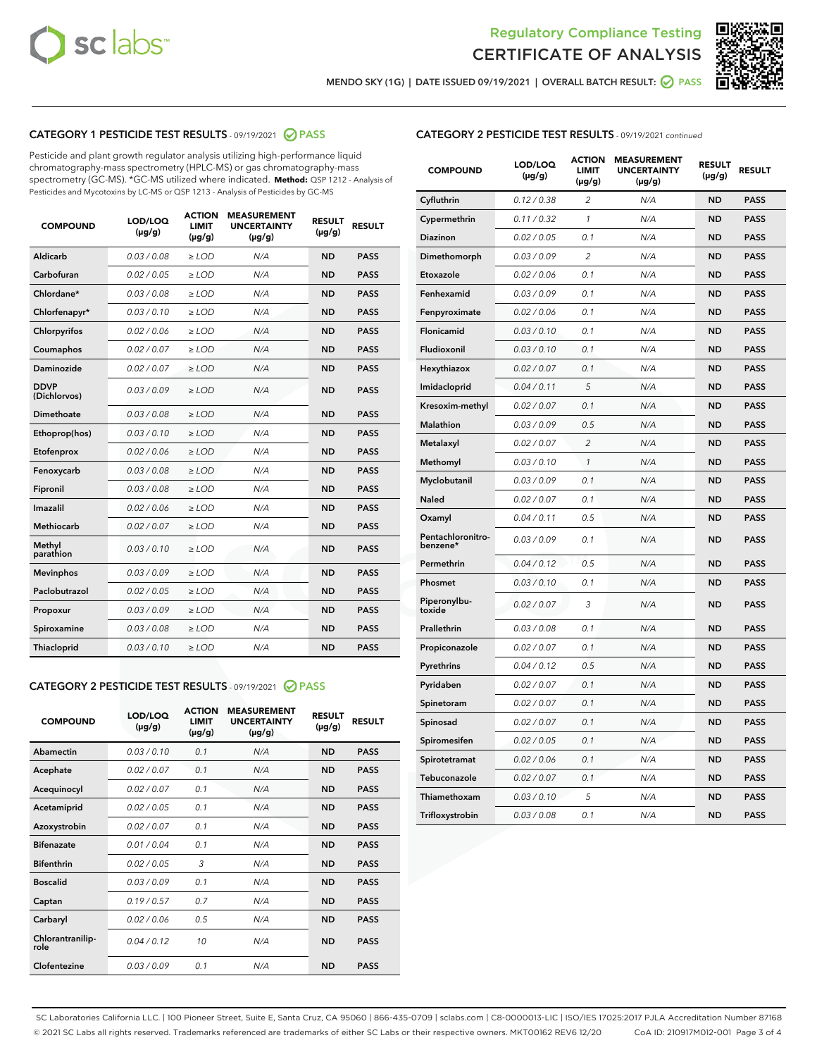



MENDO SKY (1G) | DATE ISSUED 09/19/2021 | OVERALL BATCH RESULT: ■ PASS

# CATEGORY 1 PESTICIDE TEST RESULTS - 09/19/2021 2 PASS

Pesticide and plant growth regulator analysis utilizing high-performance liquid chromatography-mass spectrometry (HPLC-MS) or gas chromatography-mass spectrometry (GC-MS). \*GC-MS utilized where indicated. **Method:** QSP 1212 - Analysis of Pesticides and Mycotoxins by LC-MS or QSP 1213 - Analysis of Pesticides by GC-MS

| <b>COMPOUND</b>             | LOD/LOQ<br>$(\mu g/g)$ | <b>ACTION</b><br><b>LIMIT</b><br>$(\mu g/g)$ | <b>MEASUREMENT</b><br><b>UNCERTAINTY</b><br>$(\mu g/g)$ | <b>RESULT</b><br>$(\mu g/g)$ | <b>RESULT</b> |
|-----------------------------|------------------------|----------------------------------------------|---------------------------------------------------------|------------------------------|---------------|
| Aldicarb                    | 0.03/0.08              | $>$ LOD                                      | N/A                                                     | <b>ND</b>                    | <b>PASS</b>   |
| Carbofuran                  | 0.02 / 0.05            | $\ge$ LOD                                    | N/A                                                     | <b>ND</b>                    | <b>PASS</b>   |
| Chlordane*                  | 0.03/0.08              | $>$ LOD                                      | N/A                                                     | <b>ND</b>                    | <b>PASS</b>   |
| Chlorfenapyr*               | 0.03/0.10              | $\ge$ LOD                                    | N/A                                                     | <b>ND</b>                    | <b>PASS</b>   |
| Chlorpyrifos                | 0.02 / 0.06            | $\ge$ LOD                                    | N/A                                                     | <b>ND</b>                    | <b>PASS</b>   |
| Coumaphos                   | 0.02 / 0.07            | $\ge$ LOD                                    | N/A                                                     | <b>ND</b>                    | <b>PASS</b>   |
| Daminozide                  | 0.02 / 0.07            | $\ge$ LOD                                    | N/A                                                     | <b>ND</b>                    | <b>PASS</b>   |
| <b>DDVP</b><br>(Dichlorvos) | 0.03/0.09              | $\ge$ LOD                                    | N/A                                                     | <b>ND</b>                    | <b>PASS</b>   |
| <b>Dimethoate</b>           | 0.03/0.08              | $\ge$ LOD                                    | N/A                                                     | <b>ND</b>                    | <b>PASS</b>   |
| Ethoprop(hos)               | 0.03/0.10              | $\ge$ LOD                                    | N/A                                                     | <b>ND</b>                    | <b>PASS</b>   |
| Etofenprox                  | 0.02 / 0.06            | $\ge$ LOD                                    | N/A                                                     | <b>ND</b>                    | <b>PASS</b>   |
| Fenoxycarb                  | 0.03/0.08              | $\ge$ LOD                                    | N/A                                                     | <b>ND</b>                    | <b>PASS</b>   |
| Fipronil                    | 0.03/0.08              | $>$ LOD                                      | N/A                                                     | <b>ND</b>                    | <b>PASS</b>   |
| Imazalil                    | 0.02 / 0.06            | $>$ LOD                                      | N/A                                                     | <b>ND</b>                    | <b>PASS</b>   |
| <b>Methiocarb</b>           | 0.02 / 0.07            | $\ge$ LOD                                    | N/A                                                     | <b>ND</b>                    | <b>PASS</b>   |
| Methyl<br>parathion         | 0.03/0.10              | $\ge$ LOD                                    | N/A                                                     | <b>ND</b>                    | <b>PASS</b>   |
| <b>Mevinphos</b>            | 0.03/0.09              | $\ge$ LOD                                    | N/A                                                     | <b>ND</b>                    | <b>PASS</b>   |
| Paclobutrazol               | 0.02 / 0.05            | $>$ LOD                                      | N/A                                                     | <b>ND</b>                    | <b>PASS</b>   |
| Propoxur                    | 0.03/0.09              | $\ge$ LOD                                    | N/A                                                     | <b>ND</b>                    | <b>PASS</b>   |
| Spiroxamine                 | 0.03/0.08              | $\ge$ LOD                                    | N/A                                                     | <b>ND</b>                    | <b>PASS</b>   |
| Thiacloprid                 | 0.03/0.10              | $\ge$ LOD                                    | N/A                                                     | <b>ND</b>                    | <b>PASS</b>   |

#### CATEGORY 2 PESTICIDE TEST RESULTS - 09/19/2021 @ PASS

| <b>COMPOUND</b>          | LOD/LOQ<br>$(\mu g/g)$ | <b>ACTION</b><br><b>LIMIT</b><br>$(\mu g/g)$ | <b>MEASUREMENT</b><br><b>UNCERTAINTY</b><br>$(\mu g/g)$ | <b>RESULT</b><br>$(\mu g/g)$ | <b>RESULT</b> |
|--------------------------|------------------------|----------------------------------------------|---------------------------------------------------------|------------------------------|---------------|
| Abamectin                | 0.03/0.10              | 0.1                                          | N/A                                                     | <b>ND</b>                    | <b>PASS</b>   |
| Acephate                 | 0.02/0.07              | 0.1                                          | N/A                                                     | <b>ND</b>                    | <b>PASS</b>   |
| Acequinocyl              | 0.02/0.07              | 0.1                                          | N/A                                                     | <b>ND</b>                    | <b>PASS</b>   |
| Acetamiprid              | 0.02/0.05              | 0.1                                          | N/A                                                     | <b>ND</b>                    | <b>PASS</b>   |
| Azoxystrobin             | 0.02/0.07              | 0.1                                          | N/A                                                     | <b>ND</b>                    | <b>PASS</b>   |
| <b>Bifenazate</b>        | 0.01/0.04              | 0.1                                          | N/A                                                     | <b>ND</b>                    | <b>PASS</b>   |
| <b>Bifenthrin</b>        | 0.02 / 0.05            | 3                                            | N/A                                                     | <b>ND</b>                    | <b>PASS</b>   |
| <b>Boscalid</b>          | 0.03/0.09              | 0.1                                          | N/A                                                     | <b>ND</b>                    | <b>PASS</b>   |
| Captan                   | 0.19/0.57              | 0.7                                          | N/A                                                     | <b>ND</b>                    | <b>PASS</b>   |
| Carbaryl                 | 0.02/0.06              | 0.5                                          | N/A                                                     | <b>ND</b>                    | <b>PASS</b>   |
| Chlorantranilip-<br>role | 0.04/0.12              | 10                                           | N/A                                                     | <b>ND</b>                    | <b>PASS</b>   |
| Clofentezine             | 0.03/0.09              | 0.1                                          | N/A                                                     | <b>ND</b>                    | <b>PASS</b>   |

# CATEGORY 2 PESTICIDE TEST RESULTS - 09/19/2021 continued

| <b>COMPOUND</b>               | LOD/LOQ<br>(µg/g) | <b>ACTION</b><br>LIMIT<br>$(\mu g/g)$ | <b>MEASUREMENT</b><br><b>UNCERTAINTY</b><br>(µg/g) | <b>RESULT</b><br>(µg/g) | <b>RESULT</b> |
|-------------------------------|-------------------|---------------------------------------|----------------------------------------------------|-------------------------|---------------|
| Cyfluthrin                    | 0.12 / 0.38       | 2                                     | N/A                                                | ND                      | <b>PASS</b>   |
| Cypermethrin                  | 0.11 / 0.32       | 1                                     | N/A                                                | ND                      | <b>PASS</b>   |
| Diazinon                      | 0.02 / 0.05       | 0.1                                   | N/A                                                | ND                      | <b>PASS</b>   |
| Dimethomorph                  | 0.03 / 0.09       | $\overline{2}$                        | N/A                                                | <b>ND</b>               | <b>PASS</b>   |
| Etoxazole                     | 0.02 / 0.06       | 0.1                                   | N/A                                                | ND                      | <b>PASS</b>   |
| Fenhexamid                    | 0.03 / 0.09       | 0.1                                   | N/A                                                | ND                      | <b>PASS</b>   |
| Fenpyroximate                 | 0.02 / 0.06       | 0.1                                   | N/A                                                | <b>ND</b>               | <b>PASS</b>   |
| Flonicamid                    | 0.03 / 0.10       | 0.1                                   | N/A                                                | <b>ND</b>               | <b>PASS</b>   |
| Fludioxonil                   | 0.03 / 0.10       | 0.1                                   | N/A                                                | <b>ND</b>               | <b>PASS</b>   |
| Hexythiazox                   | 0.02 / 0.07       | 0.1                                   | N/A                                                | <b>ND</b>               | <b>PASS</b>   |
| Imidacloprid                  | 0.04 / 0.11       | 5                                     | N/A                                                | <b>ND</b>               | <b>PASS</b>   |
| Kresoxim-methyl               | 0.02 / 0.07       | 0.1                                   | N/A                                                | ND                      | <b>PASS</b>   |
| Malathion                     | 0.03 / 0.09       | 0.5                                   | N/A                                                | <b>ND</b>               | <b>PASS</b>   |
| Metalaxyl                     | 0.02 / 0.07       | $\overline{c}$                        | N/A                                                | <b>ND</b>               | <b>PASS</b>   |
| Methomyl                      | 0.03 / 0.10       | 1                                     | N/A                                                | ND                      | <b>PASS</b>   |
| Myclobutanil                  | 0.03/0.09         | 0.1                                   | N/A                                                | <b>ND</b>               | <b>PASS</b>   |
| Naled                         | 0.02 / 0.07       | 0.1                                   | N/A                                                | ND                      | <b>PASS</b>   |
| Oxamyl                        | 0.04 / 0.11       | 0.5                                   | N/A                                                | ND                      | <b>PASS</b>   |
| Pentachloronitro-<br>benzene* | 0.03 / 0.09       | 0.1                                   | N/A                                                | ND                      | <b>PASS</b>   |
| Permethrin                    | 0.04/0.12         | 0.5                                   | N/A                                                | <b>ND</b>               | <b>PASS</b>   |
| Phosmet                       | 0.03 / 0.10       | 0.1                                   | N/A                                                | ND                      | <b>PASS</b>   |
| Piperonylbu-<br>toxide        | 0.02 / 0.07       | 3                                     | N/A                                                | <b>ND</b>               | <b>PASS</b>   |
| Prallethrin                   | 0.03 / 0.08       | 0.1                                   | N/A                                                | <b>ND</b>               | <b>PASS</b>   |
| Propiconazole                 | 0.02 / 0.07       | 0.1                                   | N/A                                                | ND                      | <b>PASS</b>   |
| Pyrethrins                    | 0.04 / 0.12       | 0.5                                   | N/A                                                | ND                      | <b>PASS</b>   |
| Pyridaben                     | 0.02 / 0.07       | 0.1                                   | N/A                                                | <b>ND</b>               | <b>PASS</b>   |
| Spinetoram                    | 0.02 / 0.07       | 0.1                                   | N/A                                                | ND                      | <b>PASS</b>   |
| Spinosad                      | 0.02 / 0.07       | 0.1                                   | N/A                                                | ND                      | <b>PASS</b>   |
| Spiromesifen                  | 0.02 / 0.05       | 0.1                                   | N/A                                                | <b>ND</b>               | <b>PASS</b>   |
| Spirotetramat                 | 0.02 / 0.06       | 0.1                                   | N/A                                                | ND                      | <b>PASS</b>   |
| Tebuconazole                  | 0.02 / 0.07       | 0.1                                   | N/A                                                | ND                      | <b>PASS</b>   |
| Thiamethoxam                  | 0.03 / 0.10       | 5                                     | N/A                                                | <b>ND</b>               | <b>PASS</b>   |
| Trifloxystrobin               | 0.03 / 0.08       | 0.1                                   | N/A                                                | <b>ND</b>               | <b>PASS</b>   |

SC Laboratories California LLC. | 100 Pioneer Street, Suite E, Santa Cruz, CA 95060 | 866-435-0709 | sclabs.com | C8-0000013-LIC | ISO/IES 17025:2017 PJLA Accreditation Number 87168 © 2021 SC Labs all rights reserved. Trademarks referenced are trademarks of either SC Labs or their respective owners. MKT00162 REV6 12/20 CoA ID: 210917M012-001 Page 3 of 4